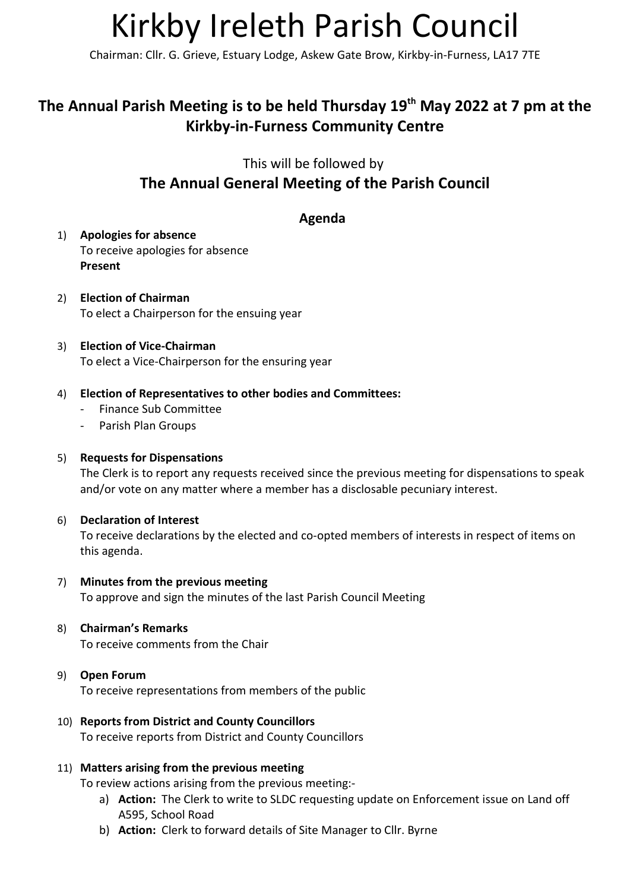# Kirkby Ireleth Parish Council

Chairman: Cllr. G. Grieve, Estuary Lodge, Askew Gate Brow, Kirkby-in-Furness, LA17 7TE

## The Annual Parish Meeting is to be held Thursday 19<sup>th</sup> May 2022 at 7 pm at the Kirkby-in-Furness Community Centre

This will be followed by

## The Annual General Meeting of the Parish Council

## Agenda

- 1) Apologies for absence To receive apologies for absence Present
- 2) Election of Chairman To elect a Chairperson for the ensuing year
- 3) Election of Vice-Chairman To elect a Vice-Chairperson for the ensuring year
- 4) Election of Representatives to other bodies and Committees:
	- Finance Sub Committee
	- Parish Plan Groups

#### 5) Requests for Dispensations

The Clerk is to report any requests received since the previous meeting for dispensations to speak and/or vote on any matter where a member has a disclosable pecuniary interest.

#### 6) Declaration of Interest

To receive declarations by the elected and co-opted members of interests in respect of items on this agenda.

- 7) Minutes from the previous meeting To approve and sign the minutes of the last Parish Council Meeting
- 8) Chairman's Remarks To receive comments from the Chair

#### 9) Open Forum To receive representations from members of the public

10) Reports from District and County Councillors To receive reports from District and County Councillors

## 11) Matters arising from the previous meeting

To review actions arising from the previous meeting:-

- a) Action: The Clerk to write to SLDC requesting update on Enforcement issue on Land off A595, School Road
- b) Action: Clerk to forward details of Site Manager to Cllr. Byrne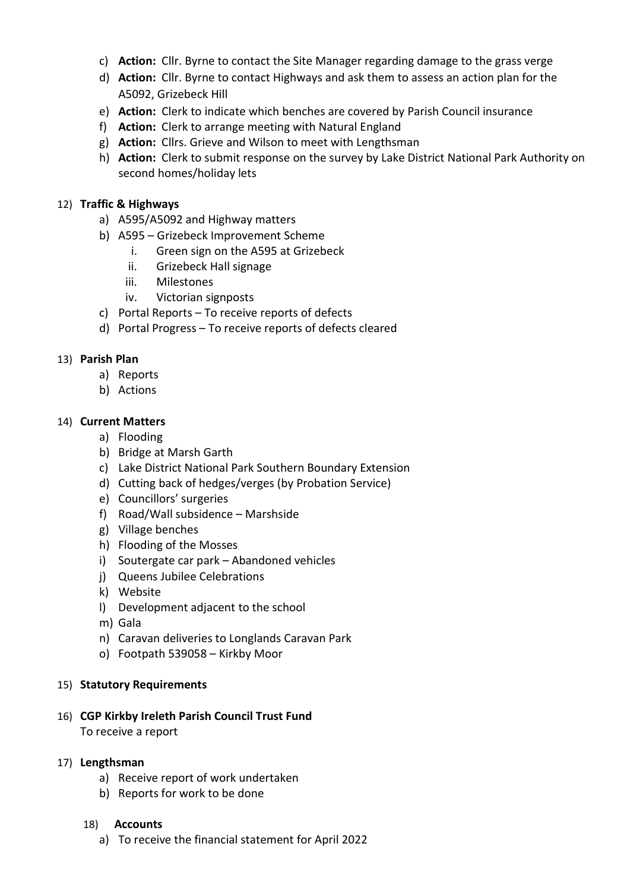- c) Action: Cllr. Byrne to contact the Site Manager regarding damage to the grass verge
- d) Action: Cllr. Byrne to contact Highways and ask them to assess an action plan for the A5092, Grizebeck Hill
- e) Action: Clerk to indicate which benches are covered by Parish Council insurance
- f) Action: Clerk to arrange meeting with Natural England
- g) Action: Cllrs. Grieve and Wilson to meet with Lengthsman
- h) **Action:** Clerk to submit response on the survey by Lake District National Park Authority on second homes/holiday lets

#### 12) Traffic & Highways

- a) A595/A5092 and Highway matters
- b) A595 Grizebeck Improvement Scheme
	- i. Green sign on the A595 at Grizebeck
	- ii. Grizebeck Hall signage
	- iii. Milestones
	- iv. Victorian signposts
- c) Portal Reports To receive reports of defects
- d) Portal Progress To receive reports of defects cleared

#### 13) Parish Plan

- a) Reports
- b) Actions

#### 14) Current Matters

- a) Flooding
- b) Bridge at Marsh Garth
- c) Lake District National Park Southern Boundary Extension
- d) Cutting back of hedges/verges (by Probation Service)
- e) Councillors' surgeries
- f) Road/Wall subsidence Marshside
- g) Village benches
- h) Flooding of the Mosses
- i) Soutergate car park Abandoned vehicles
- j) Queens Jubilee Celebrations
- k) Website
- l) Development adjacent to the school
- m) Gala
- n) Caravan deliveries to Longlands Caravan Park
- o) Footpath 539058 Kirkby Moor

#### 15) Statutory Requirements

16) CGP Kirkby Ireleth Parish Council Trust Fund To receive a report

#### 17) Lengthsman

- a) Receive report of work undertaken
- b) Reports for work to be done

#### 18) Accounts

a) To receive the financial statement for April 2022